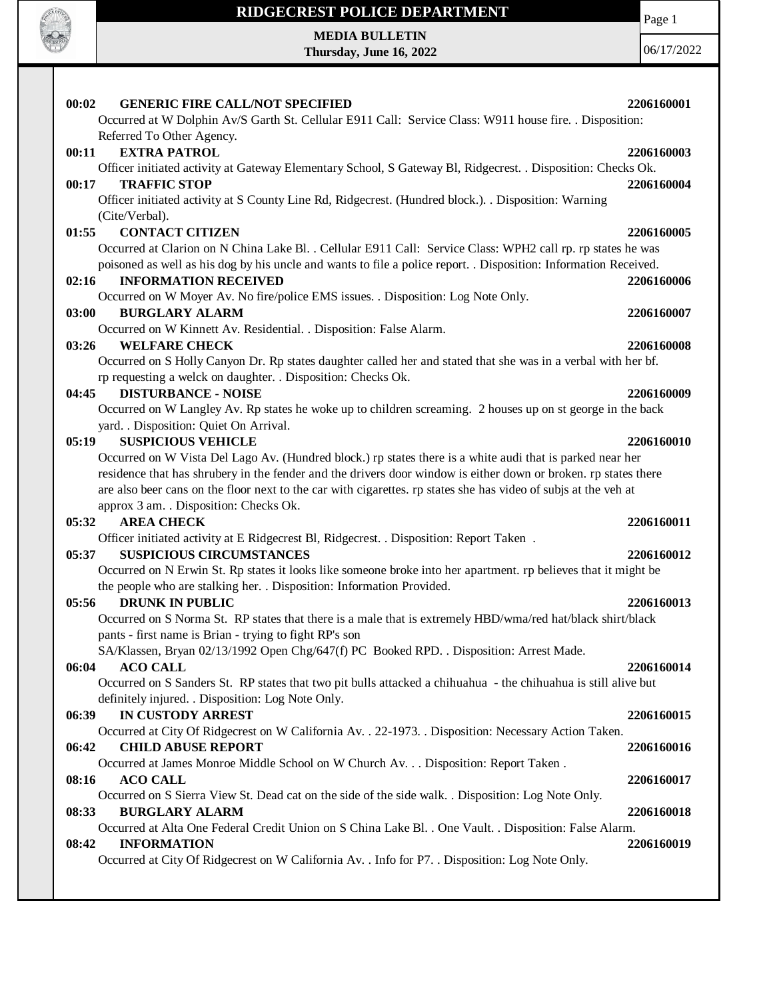

 $\mathbf{I}$ 

# **RIDGECREST POLICE DEPARTMENT MEDIA BULLETIN**

**Thursday, June 16, 2022**

Page 1

| 00:02<br><b>GENERIC FIRE CALL/NOT SPECIFIED</b>                                                                                                                                                                                    | 2206160001 |
|------------------------------------------------------------------------------------------------------------------------------------------------------------------------------------------------------------------------------------|------------|
| Occurred at W Dolphin Av/S Garth St. Cellular E911 Call: Service Class: W911 house fire. . Disposition:<br>Referred To Other Agency.                                                                                               |            |
| <b>EXTRA PATROL</b><br>00:11                                                                                                                                                                                                       | 2206160003 |
| Officer initiated activity at Gateway Elementary School, S Gateway Bl, Ridgecrest. . Disposition: Checks Ok.                                                                                                                       |            |
| <b>TRAFFIC STOP</b><br>00:17                                                                                                                                                                                                       | 2206160004 |
| Officer initiated activity at S County Line Rd, Ridgecrest. (Hundred block.). Disposition: Warning<br>(Cite/Verbal).                                                                                                               |            |
| 01:55<br><b>CONTACT CITIZEN</b>                                                                                                                                                                                                    | 2206160005 |
| Occurred at Clarion on N China Lake Bl. . Cellular E911 Call: Service Class: WPH2 call rp. rp states he was                                                                                                                        |            |
| poisoned as well as his dog by his uncle and wants to file a police report. . Disposition: Information Received.                                                                                                                   |            |
| 02:16<br><b>INFORMATION RECEIVED</b>                                                                                                                                                                                               | 2206160006 |
| Occurred on W Moyer Av. No fire/police EMS issues. . Disposition: Log Note Only.                                                                                                                                                   |            |
| 03:00<br><b>BURGLARY ALARM</b>                                                                                                                                                                                                     | 2206160007 |
| Occurred on W Kinnett Av. Residential. . Disposition: False Alarm.                                                                                                                                                                 |            |
| 03:26<br><b>WELFARE CHECK</b>                                                                                                                                                                                                      | 2206160008 |
| Occurred on S Holly Canyon Dr. Rp states daughter called her and stated that she was in a verbal with her bf.<br>rp requesting a welck on daughter. . Disposition: Checks Ok.                                                      |            |
| <b>DISTURBANCE - NOISE</b><br>04:45                                                                                                                                                                                                | 2206160009 |
| Occurred on W Langley Av. Rp states he woke up to children screaming. 2 houses up on st george in the back<br>yard. . Disposition: Quiet On Arrival.                                                                               |            |
| 05:19<br><b>SUSPICIOUS VEHICLE</b>                                                                                                                                                                                                 | 2206160010 |
| Occurred on W Vista Del Lago Av. (Hundred block.) rp states there is a white audi that is parked near her                                                                                                                          |            |
| residence that has shrubery in the fender and the drivers door window is either down or broken. rp states there<br>are also beer cans on the floor next to the car with cigarettes. rp states she has video of subjs at the veh at |            |
| approx 3 am. . Disposition: Checks Ok.                                                                                                                                                                                             |            |
| 05:32<br><b>AREA CHECK</b>                                                                                                                                                                                                         | 2206160011 |
| Officer initiated activity at E Ridgecrest Bl, Ridgecrest. . Disposition: Report Taken.                                                                                                                                            |            |
| 05:37<br><b>SUSPICIOUS CIRCUMSTANCES</b>                                                                                                                                                                                           | 2206160012 |
| Occurred on N Erwin St. Rp states it looks like someone broke into her apartment. rp believes that it might be                                                                                                                     |            |
| the people who are stalking her. . Disposition: Information Provided.                                                                                                                                                              |            |
| 05:56<br><b>DRUNK IN PUBLIC</b>                                                                                                                                                                                                    | 2206160013 |
| Occurred on S Norma St. RP states that there is a male that is extremely HBD/wma/red hat/black shirt/black                                                                                                                         |            |
| pants - first name is Brian - trying to fight RP's son                                                                                                                                                                             |            |
| SA/Klassen, Bryan 02/13/1992 Open Chg/647(f) PC Booked RPD. . Disposition: Arrest Made.                                                                                                                                            |            |
| <b>ACO CALL</b><br>06:04                                                                                                                                                                                                           | 2206160014 |
| Occurred on S Sanders St. RP states that two pit bulls attacked a chihuahua - the chihuahua is still alive but                                                                                                                     |            |
| definitely injured. . Disposition: Log Note Only.                                                                                                                                                                                  |            |
| IN CUSTODY ARREST<br>06:39                                                                                                                                                                                                         | 2206160015 |
| Occurred at City Of Ridgecrest on W California Av. . 22-1973. . Disposition: Necessary Action Taken.                                                                                                                               |            |
| <b>CHILD ABUSE REPORT</b><br>06:42                                                                                                                                                                                                 | 2206160016 |
| Occurred at James Monroe Middle School on W Church Av. Disposition: Report Taken .                                                                                                                                                 |            |
|                                                                                                                                                                                                                                    |            |
|                                                                                                                                                                                                                                    |            |
| <b>ACO CALL</b><br>08:16                                                                                                                                                                                                           | 2206160017 |
| Occurred on S Sierra View St. Dead cat on the side of the side walk. . Disposition: Log Note Only.                                                                                                                                 |            |
| <b>BURGLARY ALARM</b><br>08:33                                                                                                                                                                                                     | 2206160018 |
| Occurred at Alta One Federal Credit Union on S China Lake Bl. . One Vault. . Disposition: False Alarm.                                                                                                                             |            |
| <b>INFORMATION</b><br>08:42<br>Occurred at City Of Ridgecrest on W California Av. . Info for P7. . Disposition: Log Note Only.                                                                                                     | 2206160019 |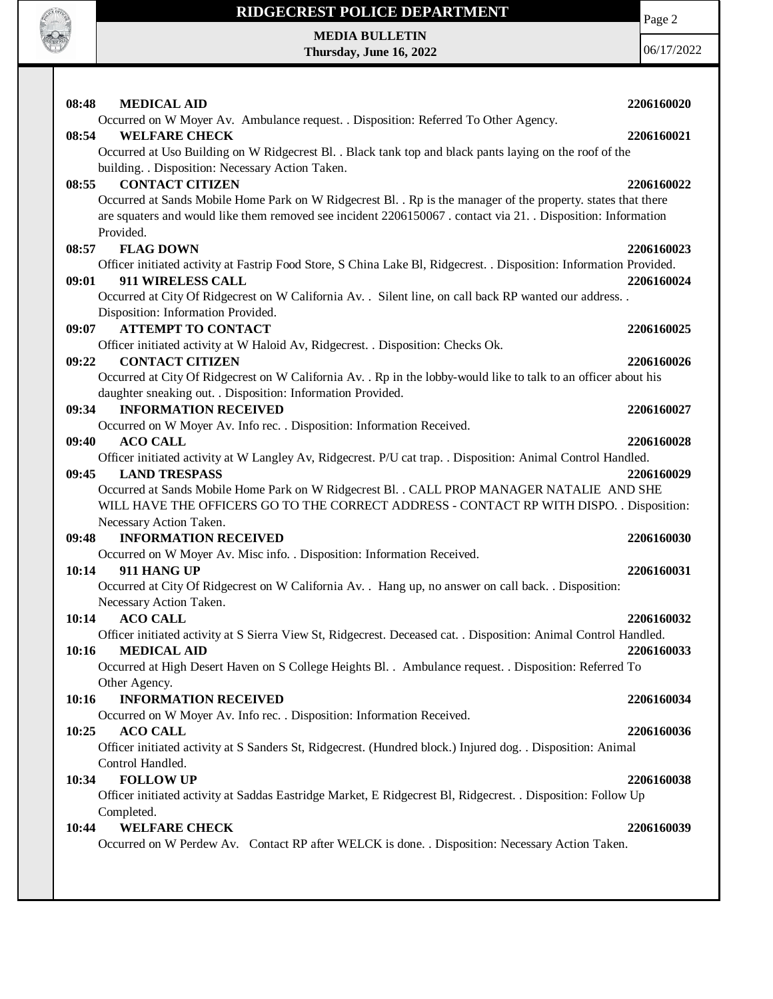

**MEDIA BULLETIN Thursday, June 16, 2022** Page 2

|       | <b>MEDICAL AID</b>                                                                                                  |            |
|-------|---------------------------------------------------------------------------------------------------------------------|------------|
| 08:48 | Occurred on W Moyer Av. Ambulance request. . Disposition: Referred To Other Agency.                                 | 2206160020 |
| 08:54 | <b>WELFARE CHECK</b>                                                                                                | 2206160021 |
|       | Occurred at Uso Building on W Ridgecrest Bl. . Black tank top and black pants laying on the roof of the             |            |
|       | building. . Disposition: Necessary Action Taken.                                                                    |            |
| 08:55 | <b>CONTACT CITIZEN</b>                                                                                              | 2206160022 |
|       | Occurred at Sands Mobile Home Park on W Ridgecrest Bl. . Rp is the manager of the property. states that there       |            |
|       | are squaters and would like them removed see incident 2206150067. contact via 21. Disposition: Information          |            |
|       | Provided.                                                                                                           |            |
| 08:57 | <b>FLAG DOWN</b>                                                                                                    | 2206160023 |
|       | Officer initiated activity at Fastrip Food Store, S China Lake Bl, Ridgecrest. . Disposition: Information Provided. |            |
| 09:01 | 911 WIRELESS CALL                                                                                                   | 2206160024 |
|       | Occurred at City Of Ridgecrest on W California Av. . Silent line, on call back RP wanted our address. .             |            |
|       | Disposition: Information Provided.                                                                                  |            |
| 09:07 | <b>ATTEMPT TO CONTACT</b>                                                                                           | 2206160025 |
|       | Officer initiated activity at W Haloid Av, Ridgecrest. . Disposition: Checks Ok.                                    |            |
| 09:22 | <b>CONTACT CITIZEN</b>                                                                                              | 2206160026 |
|       | Occurred at City Of Ridgecrest on W California Av. . Rp in the lobby-would like to talk to an officer about his     |            |
| 09:34 | daughter sneaking out. . Disposition: Information Provided.<br><b>INFORMATION RECEIVED</b>                          | 2206160027 |
|       | Occurred on W Moyer Av. Info rec. . Disposition: Information Received.                                              |            |
| 09:40 | <b>ACO CALL</b>                                                                                                     | 2206160028 |
|       | Officer initiated activity at W Langley Av, Ridgecrest. P/U cat trap. . Disposition: Animal Control Handled.        |            |
| 09:45 | <b>LAND TRESPASS</b>                                                                                                | 2206160029 |
|       | Occurred at Sands Mobile Home Park on W Ridgecrest Bl. . CALL PROP MANAGER NATALIE AND SHE                          |            |
|       | WILL HAVE THE OFFICERS GO TO THE CORRECT ADDRESS - CONTACT RP WITH DISPO. . Disposition:                            |            |
|       | Necessary Action Taken.                                                                                             |            |
| 09:48 | <b>INFORMATION RECEIVED</b>                                                                                         | 2206160030 |
|       | Occurred on W Moyer Av. Misc info. . Disposition: Information Received.                                             |            |
| 10:14 | 911 HANG UP                                                                                                         | 2206160031 |
|       | Occurred at City Of Ridgecrest on W California Av. . Hang up, no answer on call back. . Disposition:                |            |
|       | Necessary Action Taken.                                                                                             |            |
| 10:14 | <b>ACO CALL</b>                                                                                                     | 2206160032 |
|       | Officer initiated activity at S Sierra View St, Ridgecrest. Deceased cat. . Disposition: Animal Control Handled.    |            |
| 10:16 | <b>MEDICAL AID</b>                                                                                                  | 2206160033 |
|       | Occurred at High Desert Haven on S College Heights Bl. . Ambulance request. . Disposition: Referred To              |            |
|       | Other Agency.                                                                                                       |            |
| 10:16 | <b>INFORMATION RECEIVED</b><br>Occurred on W Moyer Av. Info rec. . Disposition: Information Received.               | 2206160034 |
| 10:25 | <b>ACO CALL</b>                                                                                                     | 2206160036 |
|       | Officer initiated activity at S Sanders St, Ridgecrest. (Hundred block.) Injured dog. . Disposition: Animal         |            |
|       | Control Handled.                                                                                                    |            |
| 10:34 | <b>FOLLOW UP</b>                                                                                                    | 2206160038 |
|       | Officer initiated activity at Saddas Eastridge Market, E Ridgecrest Bl, Ridgecrest. . Disposition: Follow Up        |            |
|       | Completed.                                                                                                          |            |
| 10:44 | <b>WELFARE CHECK</b>                                                                                                | 2206160039 |
|       | Occurred on W Perdew Av. Contact RP after WELCK is done. . Disposition: Necessary Action Taken.                     |            |
|       |                                                                                                                     |            |
|       |                                                                                                                     |            |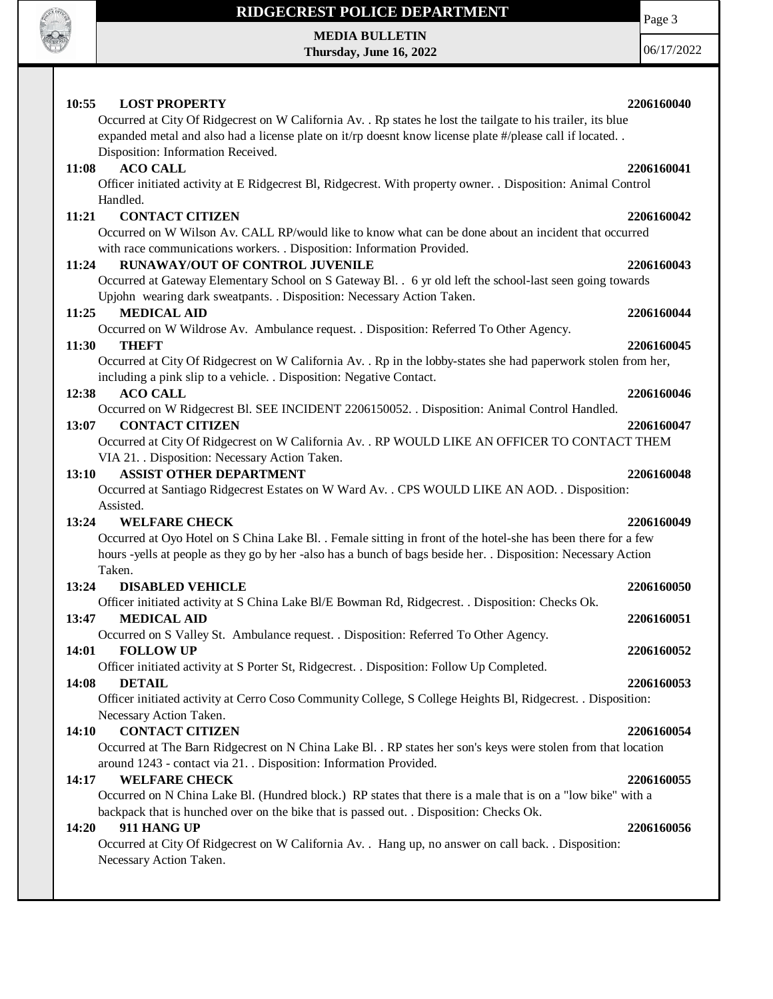

**MEDIA BULLETIN Thursday, June 16, 2022** Page 3

| 10:55        | <b>LOST PROPERTY</b>                                                                                                            | 2206160040 |
|--------------|---------------------------------------------------------------------------------------------------------------------------------|------------|
|              | Occurred at City Of Ridgecrest on W California Av. . Rp states he lost the tailgate to his trailer, its blue                    |            |
|              | expanded metal and also had a license plate on it/rp doesnt know license plate #/please call if located                         |            |
|              | Disposition: Information Received.                                                                                              |            |
| <b>11:08</b> | <b>ACO CALL</b>                                                                                                                 | 2206160041 |
|              | Officer initiated activity at E Ridgecrest Bl, Ridgecrest. With property owner. . Disposition: Animal Control                   |            |
|              | Handled.                                                                                                                        |            |
| 11:21        | <b>CONTACT CITIZEN</b>                                                                                                          | 2206160042 |
|              | Occurred on W Wilson Av. CALL RP/would like to know what can be done about an incident that occurred                            |            |
|              | with race communications workers. . Disposition: Information Provided.                                                          |            |
| 11:24        | <b>RUNAWAY/OUT OF CONTROL JUVENILE</b>                                                                                          | 2206160043 |
|              | Occurred at Gateway Elementary School on S Gateway Bl. . 6 yr old left the school-last seen going towards                       |            |
|              | Upjohn wearing dark sweatpants. . Disposition: Necessary Action Taken.                                                          |            |
| 11:25        | <b>MEDICAL AID</b>                                                                                                              | 2206160044 |
|              | Occurred on W Wildrose Av. Ambulance request. . Disposition: Referred To Other Agency.                                          |            |
| 11:30        | <b>THEFT</b>                                                                                                                    | 2206160045 |
|              | Occurred at City Of Ridgecrest on W California Av. . Rp in the lobby-states she had paperwork stolen from her,                  |            |
|              | including a pink slip to a vehicle. . Disposition: Negative Contact.                                                            |            |
| 12:38        | <b>ACO CALL</b>                                                                                                                 | 2206160046 |
|              | Occurred on W Ridgecrest Bl. SEE INCIDENT 2206150052. . Disposition: Animal Control Handled.                                    |            |
| 13:07        | <b>CONTACT CITIZEN</b><br>Occurred at City Of Ridgecrest on W California Av. . RP WOULD LIKE AN OFFICER TO CONTACT THEM         | 2206160047 |
|              | VIA 21. . Disposition: Necessary Action Taken.                                                                                  |            |
| 13:10        | <b>ASSIST OTHER DEPARTMENT</b>                                                                                                  | 2206160048 |
|              | Occurred at Santiago Ridgecrest Estates on W Ward Av. . CPS WOULD LIKE AN AOD. . Disposition:                                   |            |
|              | Assisted.                                                                                                                       |            |
| 13:24        | <b>WELFARE CHECK</b>                                                                                                            | 2206160049 |
|              | Occurred at Oyo Hotel on S China Lake Bl. . Female sitting in front of the hotel-she has been there for a few                   |            |
|              | hours -yells at people as they go by her -also has a bunch of bags beside her. . Disposition: Necessary Action                  |            |
|              | Taken.                                                                                                                          |            |
| 13:24        | <b>DISABLED VEHICLE</b>                                                                                                         | 2206160050 |
|              | Officer initiated activity at S China Lake Bl/E Bowman Rd, Ridgecrest. . Disposition: Checks Ok.                                |            |
| 13:47        | <b>MEDICAL AID</b>                                                                                                              | 2206160051 |
|              | Occurred on S Valley St. Ambulance request. . Disposition: Referred To Other Agency.                                            |            |
| 14:01        | <b>FOLLOW UP</b>                                                                                                                | 2206160052 |
|              | Officer initiated activity at S Porter St, Ridgecrest. . Disposition: Follow Up Completed.                                      |            |
| 14:08        | <b>DETAIL</b>                                                                                                                   | 2206160053 |
|              | Officer initiated activity at Cerro Coso Community College, S College Heights Bl, Ridgecrest. . Disposition:                    |            |
|              | Necessary Action Taken.                                                                                                         |            |
| 14:10        | <b>CONTACT CITIZEN</b>                                                                                                          | 2206160054 |
|              | Occurred at The Barn Ridgecrest on N China Lake Bl. . RP states her son's keys were stolen from that location                   |            |
|              | around 1243 - contact via 21. . Disposition: Information Provided.                                                              |            |
| 14:17        | <b>WELFARE CHECK</b>                                                                                                            | 2206160055 |
|              | Occurred on N China Lake Bl. (Hundred block.) RP states that there is a male that is on a "low bike" with a                     |            |
|              | backpack that is hunched over on the bike that is passed out. . Disposition: Checks Ok.                                         |            |
| 14:20        | 911 HANG UP                                                                                                                     | 2206160056 |
|              | Occurred at City Of Ridgecrest on W California Av. . Hang up, no answer on call back. . Disposition:<br>Necessary Action Taken. |            |
|              |                                                                                                                                 |            |
|              |                                                                                                                                 |            |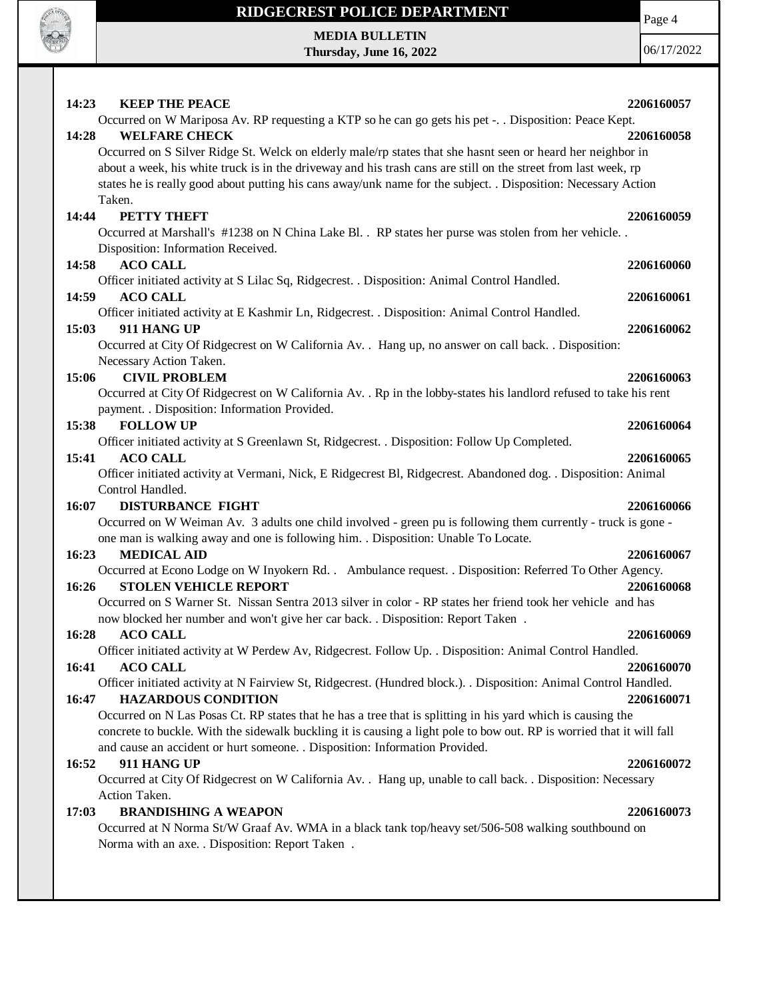

 $\mathbf{I}$ 

### **RIDGECREST POLICE DEPARTMENT**

**MEDIA BULLETIN Thursday, June 16, 2022** Page 4

| 14:23<br>14:28 | <b>KEEP THE PEACE</b><br>Occurred on W Mariposa Av. RP requesting a KTP so he can go gets his pet -. . Disposition: Peace Kept.<br><b>WELFARE CHECK</b><br>Occurred on S Silver Ridge St. Welck on elderly male/rp states that she hasnt seen or heard her neighbor in<br>about a week, his white truck is in the driveway and his trash cans are still on the street from last week, rp<br>states he is really good about putting his cans away/unk name for the subject. . Disposition: Necessary Action | 2206160057<br>2206160058 |
|----------------|------------------------------------------------------------------------------------------------------------------------------------------------------------------------------------------------------------------------------------------------------------------------------------------------------------------------------------------------------------------------------------------------------------------------------------------------------------------------------------------------------------|--------------------------|
| 14:44          | Taken.<br>PETTY THEFT<br>Occurred at Marshall's #1238 on N China Lake Bl. . RP states her purse was stolen from her vehicle. .<br>Disposition: Information Received.                                                                                                                                                                                                                                                                                                                                       | 2206160059               |
| 14:58<br>14:59 | <b>ACO CALL</b><br>Officer initiated activity at S Lilac Sq, Ridgecrest. . Disposition: Animal Control Handled.<br><b>ACO CALL</b>                                                                                                                                                                                                                                                                                                                                                                         | 2206160060<br>2206160061 |
| 15:03          | Officer initiated activity at E Kashmir Ln, Ridgecrest. . Disposition: Animal Control Handled.<br>911 HANG UP<br>Occurred at City Of Ridgecrest on W California Av. . Hang up, no answer on call back. . Disposition:                                                                                                                                                                                                                                                                                      | 2206160062               |
| 15:06          | Necessary Action Taken.<br><b>CIVIL PROBLEM</b><br>Occurred at City Of Ridgecrest on W California Av. . Rp in the lobby-states his landlord refused to take his rent                                                                                                                                                                                                                                                                                                                                       | 2206160063               |
| 15:38          | payment. . Disposition: Information Provided.<br><b>FOLLOW UP</b><br>Officer initiated activity at S Greenlawn St, Ridgecrest. . Disposition: Follow Up Completed.                                                                                                                                                                                                                                                                                                                                         | 2206160064               |
| 15:41          | <b>ACO CALL</b><br>Officer initiated activity at Vermani, Nick, E Ridgecrest Bl, Ridgecrest. Abandoned dog. . Disposition: Animal<br>Control Handled.                                                                                                                                                                                                                                                                                                                                                      | 2206160065               |
| 16:07          | <b>DISTURBANCE FIGHT</b><br>Occurred on W Weiman Av. 3 adults one child involved - green pu is following them currently - truck is gone -<br>one man is walking away and one is following him. . Disposition: Unable To Locate.                                                                                                                                                                                                                                                                            | 2206160066               |
| 16:23<br>16:26 | <b>MEDICAL AID</b><br>Occurred at Econo Lodge on W Inyokern Rd. . Ambulance request. . Disposition: Referred To Other Agency.<br><b>STOLEN VEHICLE REPORT</b><br>Occurred on S Warner St. Nissan Sentra 2013 silver in color - RP states her friend took her vehicle and has                                                                                                                                                                                                                               | 2206160067<br>2206160068 |
| 16:28          | now blocked her number and won't give her car back. . Disposition: Report Taken.<br><b>ACO CALL</b><br>Officer initiated activity at W Perdew Av, Ridgecrest. Follow Up. . Disposition: Animal Control Handled.                                                                                                                                                                                                                                                                                            | 2206160069               |
| 16:41<br>16:47 | <b>ACO CALL</b><br>Officer initiated activity at N Fairview St, Ridgecrest. (Hundred block.). . Disposition: Animal Control Handled.<br><b>HAZARDOUS CONDITION</b>                                                                                                                                                                                                                                                                                                                                         | 2206160070<br>2206160071 |
|                | Occurred on N Las Posas Ct. RP states that he has a tree that is splitting in his yard which is causing the<br>concrete to buckle. With the sidewalk buckling it is causing a light pole to bow out. RP is worried that it will fall<br>and cause an accident or hurt someone. . Disposition: Information Provided.                                                                                                                                                                                        |                          |
| 16:52          | 911 HANG UP<br>Occurred at City Of Ridgecrest on W California Av. . Hang up, unable to call back. . Disposition: Necessary                                                                                                                                                                                                                                                                                                                                                                                 | 2206160072               |
| 17:03          | Action Taken.<br><b>BRANDISHING A WEAPON</b><br>Occurred at N Norma St/W Graaf Av. WMA in a black tank top/heavy set/506-508 walking southbound on<br>Norma with an axe. . Disposition: Report Taken .                                                                                                                                                                                                                                                                                                     | 2206160073               |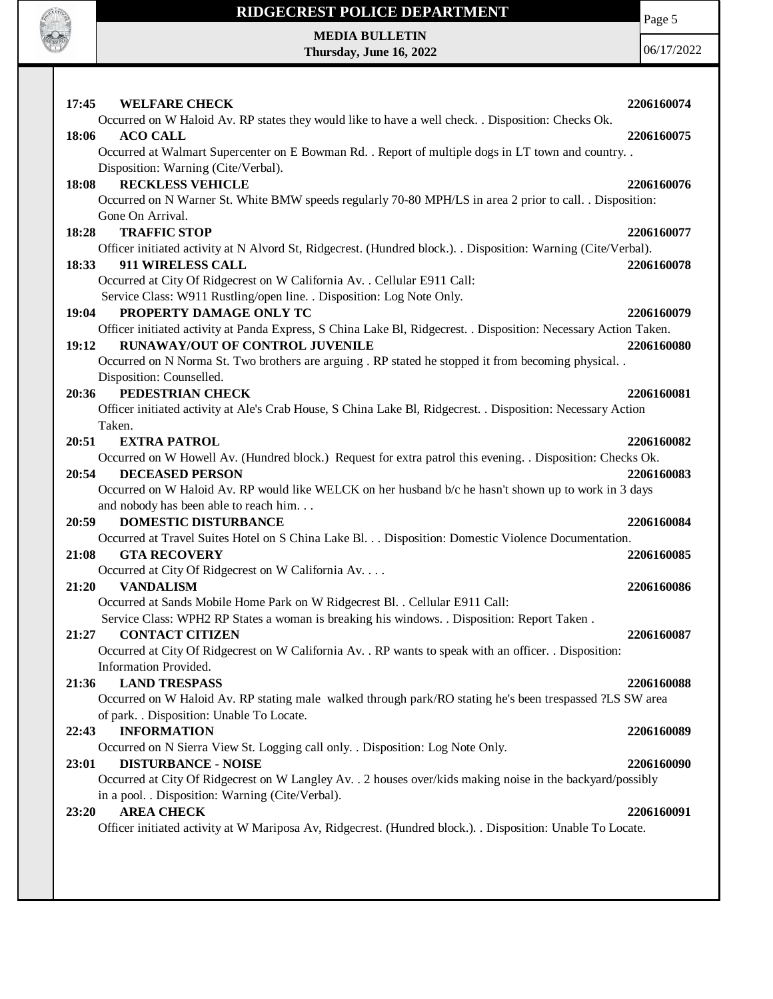

Page 5

**MEDIA BULLETIN Thursday, June 16, 2022**

| 17:45<br><b>WELFARE CHECK</b><br>Occurred on W Haloid Av. RP states they would like to have a well check. . Disposition: Checks Ok.           | 2206160074 |
|-----------------------------------------------------------------------------------------------------------------------------------------------|------------|
| 18:06<br><b>ACO CALL</b>                                                                                                                      | 2206160075 |
| Occurred at Walmart Supercenter on E Bowman Rd. . Report of multiple dogs in LT town and country. .                                           |            |
| Disposition: Warning (Cite/Verbal).                                                                                                           |            |
| <b>RECKLESS VEHICLE</b><br>18:08                                                                                                              | 2206160076 |
| Occurred on N Warner St. White BMW speeds regularly 70-80 MPH/LS in area 2 prior to call. . Disposition:                                      |            |
| Gone On Arrival.                                                                                                                              |            |
| <b>TRAFFIC STOP</b><br>18:28                                                                                                                  | 2206160077 |
| Officer initiated activity at N Alvord St, Ridgecrest. (Hundred block.). . Disposition: Warning (Cite/Verbal).                                |            |
| 18:33<br>911 WIRELESS CALL<br>Occurred at City Of Ridgecrest on W California Av. . Cellular E911 Call:                                        | 2206160078 |
| Service Class: W911 Rustling/open line. . Disposition: Log Note Only.                                                                         |            |
| PROPERTY DAMAGE ONLY TC<br>19:04                                                                                                              | 2206160079 |
| Officer initiated activity at Panda Express, S China Lake Bl, Ridgecrest. . Disposition: Necessary Action Taken.                              |            |
| RUNAWAY/OUT OF CONTROL JUVENILE<br>19:12                                                                                                      | 2206160080 |
| Occurred on N Norma St. Two brothers are arguing . RP stated he stopped it from becoming physical                                             |            |
| Disposition: Counselled.                                                                                                                      |            |
| PEDESTRIAN CHECK<br>20:36                                                                                                                     | 2206160081 |
| Officer initiated activity at Ale's Crab House, S China Lake Bl, Ridgecrest. . Disposition: Necessary Action                                  |            |
| Taken.                                                                                                                                        |            |
| 20:51<br><b>EXTRA PATROL</b>                                                                                                                  | 2206160082 |
| Occurred on W Howell Av. (Hundred block.) Request for extra patrol this evening. . Disposition: Checks Ok.<br>20:54<br><b>DECEASED PERSON</b> | 2206160083 |
| Occurred on W Haloid Av. RP would like WELCK on her husband b/c he hasn't shown up to work in 3 days                                          |            |
| and nobody has been able to reach him                                                                                                         |            |
| 20:59<br><b>DOMESTIC DISTURBANCE</b>                                                                                                          | 2206160084 |
| Occurred at Travel Suites Hotel on S China Lake Bl. Disposition: Domestic Violence Documentation.                                             |            |
| <b>GTA RECOVERY</b><br>21:08                                                                                                                  | 2206160085 |
| Occurred at City Of Ridgecrest on W California Av.                                                                                            |            |
| <b>VANDALISM</b><br>21:20                                                                                                                     | 2206160086 |
| Occurred at Sands Mobile Home Park on W Ridgecrest Bl. . Cellular E911 Call:                                                                  |            |
| Service Class: WPH2 RP States a woman is breaking his windows. . Disposition: Report Taken.                                                   |            |
| <b>CONTACT CITIZEN</b><br>21:27<br>Occurred at City Of Ridgecrest on W California Av. . RP wants to speak with an officer. . Disposition:     | 2206160087 |
| Information Provided.                                                                                                                         |            |
| <b>LAND TRESPASS</b><br>21:36                                                                                                                 | 2206160088 |
| Occurred on W Haloid Av. RP stating male walked through park/RO stating he's been trespassed ?LS SW area                                      |            |
| of park. . Disposition: Unable To Locate.                                                                                                     |            |
| <b>INFORMATION</b><br>22:43                                                                                                                   | 2206160089 |
| Occurred on N Sierra View St. Logging call only. . Disposition: Log Note Only.                                                                |            |
| <b>DISTURBANCE - NOISE</b><br>23:01                                                                                                           | 2206160090 |
| Occurred at City Of Ridgecrest on W Langley Av. . 2 houses over/kids making noise in the backyard/possibly                                    |            |
| in a pool. . Disposition: Warning (Cite/Verbal).                                                                                              |            |
| <b>AREA CHECK</b><br>23:20                                                                                                                    | 2206160091 |
| Officer initiated activity at W Mariposa Av, Ridgecrest. (Hundred block.). . Disposition: Unable To Locate.                                   |            |
|                                                                                                                                               |            |